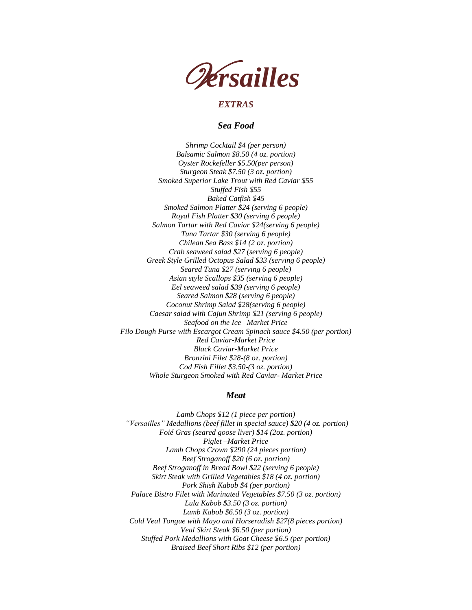

# *EXTRAS*

*Sea Food*

*Shrimp Cocktail \$4 (per person) Balsamic Salmon \$8.50 (4 oz. portion) Oyster Rockefeller \$5.50(per person) Sturgeon Steak \$7.50 (3 oz. portion) Smoked Superior Lake Trout with Red Caviar \$55 Stuffed Fish \$55 Baked Catfish \$45 Smoked Salmon Platter \$24 (serving 6 people) Royal Fish Platter \$30 (serving 6 people) Salmon Tartar with Red Caviar \$24(serving 6 people) Tuna Tartar \$30 (serving 6 people) Chilean Sea Bass \$14 (2 oz. portion) Crab seaweed salad \$27 (serving 6 people) Greek Style Grilled Octopus Salad \$33 (serving 6 people) Seared Tuna \$27 (serving 6 people) Asian style Scallops \$35 (serving 6 people) Eel seaweed salad \$39 (serving 6 people) Seared Salmon \$28 (serving 6 people) Coconut Shrimp Salad \$28(serving 6 people) Caesar salad with Cajun Shrimp \$21 (serving 6 people) Seafood on the Ice –Market Price Filo Dough Purse with Escargot Cream Spinach sauce \$4.50 (per portion) Red Caviar-Market Price Black Caviar-Market Price Bronzini Filet \$28-(8 oz. portion) Cod Fish Fillet \$3.50-(3 oz. portion) Whole Sturgeon Smoked with Red Caviar- Market Price*

## *Meat*

*Lamb Chops \$12 (1 piece per portion) "Versailles" Medallions (beef fillet in special sauce) \$20 (4 oz. portion) Foié Gras (seared goose liver) \$14 (2oz. portion) Piglet –Market Price Lamb Chops Crown \$290 (24 pieces portion) Beef Stroganoff \$20 (6 oz. portion) Beef Stroganoff in Bread Bowl \$22 (serving 6 people) Skirt Steak with Grilled Vegetables \$18 (4 oz. portion) Pork Shish Kabob \$4 (per portion) Palace Bistro Filet with Marinated Vegetables \$7.50 (3 oz. portion) Lula Kabob \$3.50 (3 oz. portion) Lamb Kabob \$6.50 (3 oz. portion) Cold Veal Tongue with Mayo and Horseradish \$27(8 pieces portion) Veal Skirt Steak \$6.50 (per portion) Stuffed Pork Medallions with Goat Cheese \$6.5 (per portion) Braised Beef Short Ribs \$12 (per portion)*